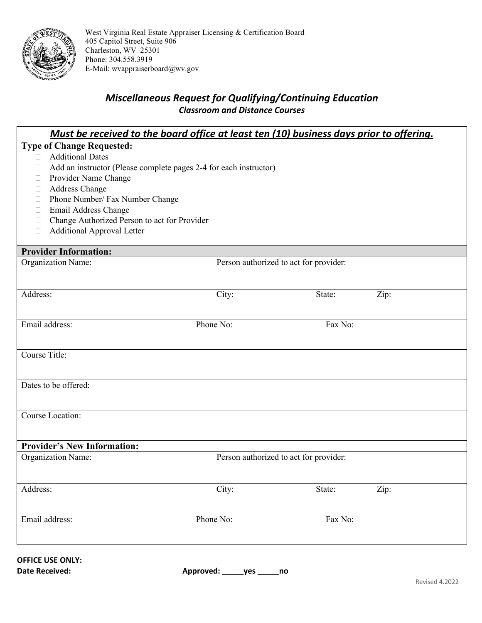

West Virginia Real Estate Appraiser Licensing & Certification Board 405 Capitol Street, Suite 906 Charleston, WV 25301 Phone: 304.558.3919 E-Mail: [wvappraiserboard@wv.gov](mailto:wvappraiserboard@wv.gov)

## *Miscellaneous Request for Qualifying/Continuing Education Classroom and Distance Courses*

| Must be received to the board office at least ten (10) business days prior to offering.                                                                                                                                                                                                                                                                                                                    |           |                                        |      |
|------------------------------------------------------------------------------------------------------------------------------------------------------------------------------------------------------------------------------------------------------------------------------------------------------------------------------------------------------------------------------------------------------------|-----------|----------------------------------------|------|
| <b>Type of Change Requested:</b><br><b>Additional Dates</b><br>$\mathbb{R}^n$<br>Add an instructor (Please complete pages 2-4 for each instructor)<br>$\Box$<br>Provider Name Change<br>$\Box$<br><b>Address Change</b><br>⊔<br>Phone Number/ Fax Number Change<br>□<br>Email Address Change<br>$\Box$<br>Change Authorized Person to act for Provider<br>$\Box$<br><b>Additional Approval Letter</b><br>□ |           |                                        |      |
| <b>Provider Information:</b>                                                                                                                                                                                                                                                                                                                                                                               |           |                                        |      |
| Organization Name:                                                                                                                                                                                                                                                                                                                                                                                         |           | Person authorized to act for provider: |      |
| Address:                                                                                                                                                                                                                                                                                                                                                                                                   | City:     | State:                                 | Zip: |
| Email address:                                                                                                                                                                                                                                                                                                                                                                                             | Phone No: | Fax No:                                |      |
| Course Title:                                                                                                                                                                                                                                                                                                                                                                                              |           |                                        |      |
| Dates to be offered:                                                                                                                                                                                                                                                                                                                                                                                       |           |                                        |      |
| Course Location:                                                                                                                                                                                                                                                                                                                                                                                           |           |                                        |      |
| <b>Provider's New Information:</b>                                                                                                                                                                                                                                                                                                                                                                         |           |                                        |      |
| Organization Name:                                                                                                                                                                                                                                                                                                                                                                                         |           | Person authorized to act for provider: |      |
| Address:                                                                                                                                                                                                                                                                                                                                                                                                   | City:     | State:                                 | Zip: |
| Email address:                                                                                                                                                                                                                                                                                                                                                                                             | Phone No: | Fax No:                                |      |
|                                                                                                                                                                                                                                                                                                                                                                                                            |           |                                        |      |

## **OFFICE USE ONLY:**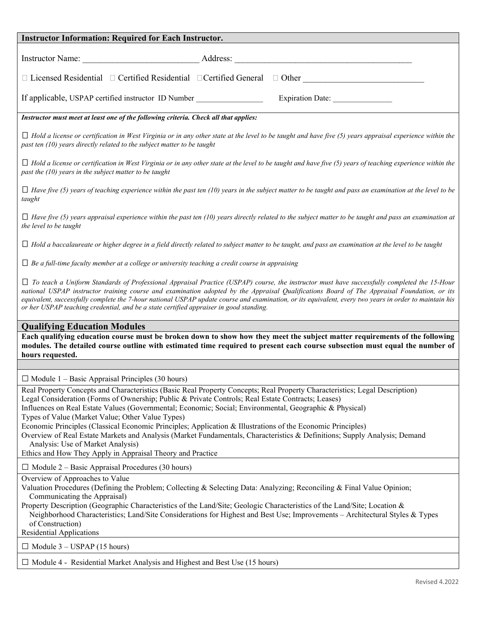| <b>Instructor Information: Required for Each Instructor.</b>                                                                                                                                                                                                                                                                                                                                                                                                                                                                                                                                                                                                                                                                                    |
|-------------------------------------------------------------------------------------------------------------------------------------------------------------------------------------------------------------------------------------------------------------------------------------------------------------------------------------------------------------------------------------------------------------------------------------------------------------------------------------------------------------------------------------------------------------------------------------------------------------------------------------------------------------------------------------------------------------------------------------------------|
|                                                                                                                                                                                                                                                                                                                                                                                                                                                                                                                                                                                                                                                                                                                                                 |
|                                                                                                                                                                                                                                                                                                                                                                                                                                                                                                                                                                                                                                                                                                                                                 |
|                                                                                                                                                                                                                                                                                                                                                                                                                                                                                                                                                                                                                                                                                                                                                 |
| If applicable, USPAP certified instructor ID Number<br>Expiration Date:                                                                                                                                                                                                                                                                                                                                                                                                                                                                                                                                                                                                                                                                         |
| Instructor must meet at least one of the following criteria. Check all that applies:                                                                                                                                                                                                                                                                                                                                                                                                                                                                                                                                                                                                                                                            |
| $\Box$ Hold a license or certification in West Virginia or in any other state at the level to be taught and have five (5) years appraisal experience within the<br>past ten (10) years directly related to the subject matter to be taught                                                                                                                                                                                                                                                                                                                                                                                                                                                                                                      |
| $\Box$ Hold a license or certification in West Virginia or in any other state at the level to be taught and have five (5) years of teaching experience within the<br>past the $(10)$ years in the subject matter to be taught                                                                                                                                                                                                                                                                                                                                                                                                                                                                                                                   |
| $\Box$ Have five (5) years of teaching experience within the past ten (10) years in the subject matter to be taught and pass an examination at the level to be<br>taught                                                                                                                                                                                                                                                                                                                                                                                                                                                                                                                                                                        |
| $\Box$ Have five (5) years appraisal experience within the past ten (10) years directly related to the subject matter to be taught and pass an examination at<br>the level to be taught                                                                                                                                                                                                                                                                                                                                                                                                                                                                                                                                                         |
| $\Box$ Hold a baccalaureate or higher degree in a field directly related to subject matter to be taught, and pass an examination at the level to be taught                                                                                                                                                                                                                                                                                                                                                                                                                                                                                                                                                                                      |
| $\Box$ Be a full-time faculty member at a college or university teaching a credit course in appraising                                                                                                                                                                                                                                                                                                                                                                                                                                                                                                                                                                                                                                          |
| $\Box$ To teach a Uniform Standards of Professional Appraisal Practice (USPAP) course, the instructor must have successfully completed the 15-Hour<br>national USPAP instructor training course and examination adopted by the Appraisal Qualifications Board of The Appraisal Foundation, or its<br>equivalent, successfully complete the 7-hour national USPAP update course and examination, or its equivalent, every two years in order to maintain his<br>or her USPAP teaching credential, and be a state certified appraiser in good standing.                                                                                                                                                                                           |
| <b>Qualifying Education Modules</b>                                                                                                                                                                                                                                                                                                                                                                                                                                                                                                                                                                                                                                                                                                             |
| Each qualifying education course must be broken down to show how they meet the subject matter requirements of the following<br>modules. The detailed course outline with estimated time required to present each course subsection must equal the number of<br>hours requested.                                                                                                                                                                                                                                                                                                                                                                                                                                                                 |
|                                                                                                                                                                                                                                                                                                                                                                                                                                                                                                                                                                                                                                                                                                                                                 |
| $\Box$ Module 1 – Basic Appraisal Principles (30 hours)                                                                                                                                                                                                                                                                                                                                                                                                                                                                                                                                                                                                                                                                                         |
| Real Property Concepts and Characteristics (Basic Real Property Concepts; Real Property Characteristics; Legal Description)<br>Legal Consideration (Forms of Ownership; Public & Private Controls; Real Estate Contracts; Leases)<br>Influences on Real Estate Values (Governmental; Economic; Social; Environmental, Geographic & Physical)<br>Types of Value (Market Value; Other Value Types)<br>Economic Principles (Classical Economic Principles; Application & Illustrations of the Economic Principles)<br>Overview of Real Estate Markets and Analysis (Market Fundamentals, Characteristics & Definitions; Supply Analysis; Demand<br>Analysis: Use of Market Analysis)<br>Ethics and How They Apply in Appraisal Theory and Practice |
| $\Box$ Module 2 – Basic Appraisal Procedures (30 hours)                                                                                                                                                                                                                                                                                                                                                                                                                                                                                                                                                                                                                                                                                         |
| Overview of Approaches to Value<br>Valuation Procedures (Defining the Problem; Collecting & Selecting Data: Analyzing; Reconciling & Final Value Opinion;<br>Communicating the Appraisal)<br>Property Description (Geographic Characteristics of the Land/Site; Geologic Characteristics of the Land/Site; Location &<br>Neighborhood Characteristics; Land/Site Considerations for Highest and Best Use; Improvements - Architectural Styles & Types<br>of Construction)<br><b>Residential Applications</b>                                                                                                                                                                                                                                    |
| $\Box$ Module 3 – USPAP (15 hours)                                                                                                                                                                                                                                                                                                                                                                                                                                                                                                                                                                                                                                                                                                              |
| $\Box$ Module 4 - Residential Market Analysis and Highest and Best Use (15 hours)                                                                                                                                                                                                                                                                                                                                                                                                                                                                                                                                                                                                                                                               |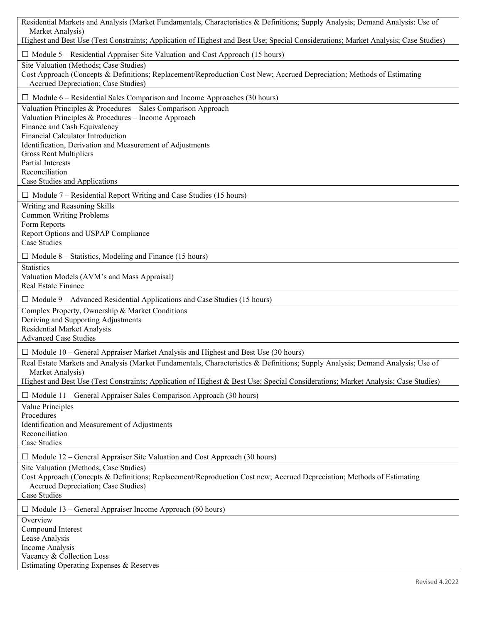| Residential Markets and Analysis (Market Fundamentals, Characteristics & Definitions; Supply Analysis; Demand Analysis: Use of                                  |
|-----------------------------------------------------------------------------------------------------------------------------------------------------------------|
| Market Analysis)<br>Highest and Best Use (Test Constraints; Application of Highest and Best Use; Special Considerations; Market Analysis; Case Studies)         |
| $\Box$ Module 5 – Residential Appraiser Site Valuation and Cost Approach (15 hours)                                                                             |
| Site Valuation (Methods; Case Studies)                                                                                                                          |
| Cost Approach (Concepts & Definitions; Replacement/Reproduction Cost New; Accrued Depreciation; Methods of Estimating<br>Accrued Depreciation; Case Studies)    |
| $\Box$ Module 6 – Residential Sales Comparison and Income Approaches (30 hours)                                                                                 |
| Valuation Principles & Procedures - Sales Comparison Approach<br>Valuation Principles & Procedures - Income Approach                                            |
| Finance and Cash Equivalency                                                                                                                                    |
| Financial Calculator Introduction<br>Identification, Derivation and Measurement of Adjustments                                                                  |
| <b>Gross Rent Multipliers</b>                                                                                                                                   |
| <b>Partial Interests</b>                                                                                                                                        |
| Reconciliation<br>Case Studies and Applications                                                                                                                 |
| $\Box$ Module 7 – Residential Report Writing and Case Studies (15 hours)                                                                                        |
| Writing and Reasoning Skills                                                                                                                                    |
| <b>Common Writing Problems</b><br>Form Reports                                                                                                                  |
| Report Options and USPAP Compliance                                                                                                                             |
| <b>Case Studies</b>                                                                                                                                             |
| $\Box$ Module 8 – Statistics, Modeling and Finance (15 hours)                                                                                                   |
| <b>Statistics</b><br>Valuation Models (AVM's and Mass Appraisal)                                                                                                |
| Real Estate Finance                                                                                                                                             |
| $\Box$ Module 9 – Advanced Residential Applications and Case Studies (15 hours)                                                                                 |
| Complex Property, Ownership & Market Conditions                                                                                                                 |
| Deriving and Supporting Adjustments<br><b>Residential Market Analysis</b>                                                                                       |
| <b>Advanced Case Studies</b>                                                                                                                                    |
| $\Box$ Module 10 – General Appraiser Market Analysis and Highest and Best Use (30 hours)                                                                        |
| Real Estate Markets and Analysis (Market Fundamentals, Characteristics & Definitions; Supply Analysis; Demand Analysis; Use of                                  |
| Market Analysis)<br>Highest and Best Use (Test Constraints; Application of Highest & Best Use; Special Considerations; Market Analysis; Case Studies)           |
| $\Box$ Module 11 – General Appraiser Sales Comparison Approach (30 hours)                                                                                       |
| Value Principles                                                                                                                                                |
| Procedures                                                                                                                                                      |
| Identification and Measurement of Adjustments<br>Reconciliation                                                                                                 |
| Case Studies                                                                                                                                                    |
| $\Box$ Module 12 – General Appraiser Site Valuation and Cost Approach (30 hours)                                                                                |
| Site Valuation (Methods; Case Studies)<br>Cost Approach (Concepts & Definitions; Replacement/Reproduction Cost new; Accrued Depreciation; Methods of Estimating |
| Accrued Depreciation; Case Studies)                                                                                                                             |
| <b>Case Studies</b>                                                                                                                                             |
| $\Box$ Module 13 – General Appraiser Income Approach (60 hours)                                                                                                 |
| Overview                                                                                                                                                        |
| Compound Interest<br>Lease Analysis                                                                                                                             |
| Income Analysis                                                                                                                                                 |
| Vacancy & Collection Loss                                                                                                                                       |
| Estimating Operating Expenses & Reserves                                                                                                                        |